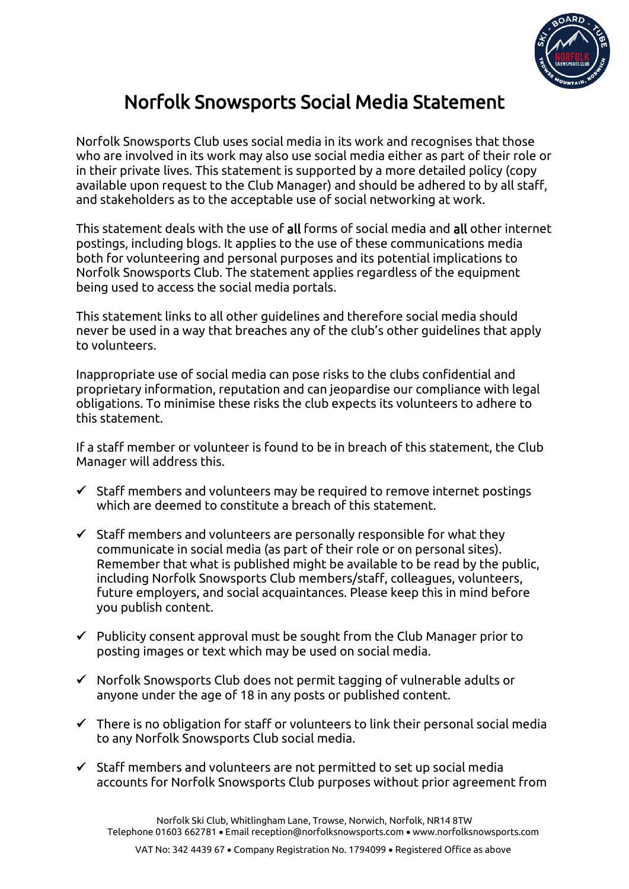

## Norfolk Snowsports Social Media Statement

Norfolk Snowsports Club uses social media in its work and recognises that those who are involved in its work may also use social media either as part of their role or in their private lives. This statement is supported by a more detailed policy (copy available upon request to the Club Manager) and should be adhered to by all staff, and stakeholders as to the acceptable use of social networking at work.

This statement deals with the use of all forms of social media and all other internet postings, including blogs. It applies to the use of these communications media both for volunteering and personal purposes and its potential implications to Norfolk Snowsports Club. The statement applies regardless of the equipment being used to access the social media portals.

This statement links to all other guidelines and therefore social media should never be used in a way that breaches any of the club's other guidelines that apply to volunteers.

Inappropriate use of social media can pose risks to the clubs confidential and proprietary information, reputation and can jeopardise our compliance with legal obligations. To minimise these risks the club expects its volunteers to adhere to this statement.

If a staff member or volunteer is found to be in breach of this statement, the Club Manager will address this.

- ✓ Staff members and volunteers may be required to remove internet postings which are deemed to constitute a breach of this statement.
- $\checkmark$  Staff members and volunteers are personally responsible for what they communicate in social media (as part of their role or on personal sites). Remember that what is published might be available to be read by the public, including Norfolk Snowsports Club members/staff, colleagues, volunteers, future employers, and social acquaintances. Please keep this in mind before you publish content.
- $\checkmark$  Publicity consent approval must be sought from the Club Manager prior to posting images or text which may be used on social media.
- ✓ Norfolk Snowsports Club does not permit tagging of vulnerable adults or anyone under the age of 18 in any posts or published content.
- $\checkmark$  There is no obligation for staff or volunteers to link their personal social media to any Norfolk Snowsports Club social media.
- ✓ Staff members and volunteers are not permitted to set up social media accounts for Norfolk Snowsports Club purposes without prior agreement from